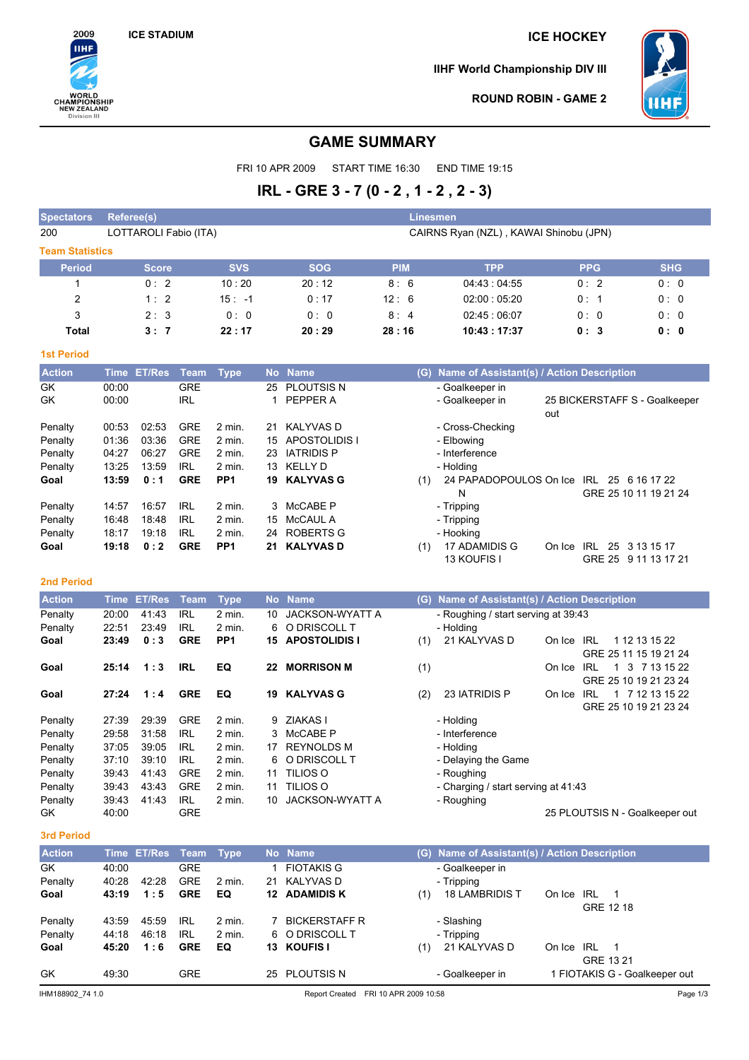2009 **IIHF** 

**WORLD<br>CHAMPIONSHIP<br>NEW ZEALAND<br>Division III** 

## **ICE STADIUM ICE HOCKEY**

**IIHF World Championship DIV III**



GRE 25 9 11 13 17 21

**ROUND ROBIN - GAME 2**

## **GAME SUMMARY**

FRI 10 APR 2009 START TIME 16:30 END TIME 19:15

# **IRL - GRE 3 - 7 (0 - 2 , 1 - 2 , 2 - 3)**

| <b>Spectators</b>      | <b>Referee(s)</b> |                       |             |                 |    |                      |            | <b>Linesmen</b>                           |            |            |                               |            |
|------------------------|-------------------|-----------------------|-------------|-----------------|----|----------------------|------------|-------------------------------------------|------------|------------|-------------------------------|------------|
| 200                    |                   | LOTTAROLI Fabio (ITA) |             |                 |    |                      |            | CAIRNS Ryan (NZL), KAWAI Shinobu (JPN)    |            |            |                               |            |
| <b>Team Statistics</b> |                   |                       |             |                 |    |                      |            |                                           |            |            |                               |            |
| <b>Period</b>          |                   | <b>Score</b>          |             | <b>SVS</b>      |    | <b>SOG</b>           | <b>PIM</b> | <b>TPP</b>                                |            | <b>PPG</b> |                               | <b>SHG</b> |
|                        |                   | 0:2                   |             | 10:20           |    | 20:12                | 8:6        | 04:43:04:55                               |            | 0:2        |                               | 0:0        |
| 2                      |                   | 1:2                   |             | $15: -1$        |    | 0:17                 | 12:6       | 02:00:05:20                               |            | 0: 1       |                               | 0:0        |
| 3                      |                   | 2:3                   |             | 0:0             |    | 0:0                  | 8:4        | 02:45:06:07                               |            | 0:0        |                               | 0:0        |
| <b>Total</b>           |                   | 3:7                   |             | 22:17           |    | 20:29                | 28:16      | 10:43:17:37                               |            | 0:3        |                               | 0: 0       |
| <b>1st Period</b>      |                   |                       |             |                 |    |                      |            |                                           |            |            |                               |            |
| <b>Action</b>          | <b>Time</b>       | <b>ET/Res</b>         | <b>Team</b> | <b>Type</b>     |    | No Name              | (G)        | Name of Assistant(s) / Action Description |            |            |                               |            |
| GK                     | 00:00             |                       | <b>GRE</b>  |                 | 25 | <b>PLOUTSIS N</b>    |            | - Goalkeeper in                           |            |            |                               |            |
| GK                     | 00:00             |                       | <b>IRL</b>  |                 | 1  | PEPPER A             |            | - Goalkeeper in                           |            |            | 25 BICKERSTAFF S - Goalkeeper |            |
|                        |                   |                       |             |                 |    |                      |            |                                           | out        |            |                               |            |
| Penalty                | 00:53             | 02:53                 | <b>GRE</b>  | $2$ min.        | 21 | <b>KALYVASD</b>      |            | - Cross-Checking                          |            |            |                               |            |
| Penalty                | 01:36             | 03:36                 | <b>GRE</b>  | 2 min.          | 15 | <b>APOSTOLIDIS I</b> |            | - Elbowing                                |            |            |                               |            |
| Penalty                | 04:27             | 06:27                 | <b>GRE</b>  | $2$ min.        | 23 | <b>IATRIDIS P</b>    |            | - Interference                            |            |            |                               |            |
| Penalty                | 13:25             | 13:59                 | <b>IRL</b>  | $2$ min.        | 13 | <b>KELLY D</b>       |            | - Holding                                 |            |            |                               |            |
| Goal                   | 13:59             | 0:1                   | <b>GRE</b>  | PP <sub>1</sub> | 19 | <b>KALYVAS G</b>     | (1)        | 24 PAPADOPOULOS On Ice                    |            | IRL        | 25 6 16 17 22                 |            |
|                        |                   |                       |             |                 |    |                      |            | N                                         |            |            | GRE 25 10 11 19 21 24         |            |
| Penalty                | 14:57             | 16:57                 | <b>IRL</b>  | $2$ min.        | 3  | McCABE P             |            | - Tripping                                |            |            |                               |            |
| Penalty                | 16:48             | 18:48                 | <b>IRL</b>  | $2$ min.        | 15 | <b>McCAUL A</b>      |            | - Tripping                                |            |            |                               |            |
| Penalty                | 18:17             | 19:18                 | IRL         | 2 min.          | 24 | ROBERTS G            |            | - Hooking                                 |            |            |                               |            |
| Goal                   | 19:18             | 0:2                   | <b>GRE</b>  | PP <sub>1</sub> | 21 | <b>KALYVAS D</b>     | (1)        | 17 ADAMIDIS G                             | On Ice IRL |            | 25 3 13 15 17                 |            |

| <b>Action</b> | Time  | <b>ET/Res</b> | Team       | <b>Type</b>       |     | No Name                | (G) | Name of Assistant(s) / Action Description |        |                                |
|---------------|-------|---------------|------------|-------------------|-----|------------------------|-----|-------------------------------------------|--------|--------------------------------|
| Penalty       | 20:00 | 41:43         | IRL        | 2 min.            | 10  | <b>JACKSON-WYATT A</b> |     | - Roughing / start serving at 39:43       |        |                                |
| Penalty       | 22:51 | 23:49         | IRL        | 2 min.            | 6   | O DRISCOLL T           |     | - Holding                                 |        |                                |
| Goal          | 23:49 | 0:3           | <b>GRE</b> | PP <sub>1</sub>   | 15. | <b>APOSTOLIDIS I</b>   | (1) | 21 KALYVAS D                              | On Ice | 1 12 13 15 22<br>IRL           |
|               |       |               |            |                   |     |                        |     |                                           |        | GRE 25 11 15 19 21 24          |
| Goal          | 25:14 | 1:3           | IRL        | EQ                | 22  | <b>MORRISON M</b>      | (1) |                                           | On Ice | 3 7 13 15 22<br>IRL<br>-1      |
|               |       |               |            |                   |     |                        |     |                                           |        | GRE 25 10 19 21 23 24          |
| Goal          | 27:24 | 1:4           | <b>GRE</b> | EQ                | 19  | <b>KALYVAS G</b>       | (2) | 23 IATRIDIS P                             | On Ice | 7 12 13 15 22<br>IRL<br>1      |
|               |       |               |            |                   |     |                        |     |                                           |        | GRE 25 10 19 21 23 24          |
| Penalty       | 27:39 | 29:39         | <b>GRE</b> | 2 min.            | 9   | ZIAKAS I               |     | - Holding                                 |        |                                |
| Penalty       | 29:58 | 31:58         | IRL        | $2 \text{ min}$ . | 3.  | McCABE P               |     | - Interference                            |        |                                |
| Penalty       | 37:05 | 39:05         | <b>IRL</b> | 2 min.            | 17  | <b>REYNOLDS M</b>      |     | - Holding                                 |        |                                |
| Penalty       | 37:10 | 39:10         | IRL        | 2 min.            |     | 6 O DRISCOLL T         |     | - Delaying the Game                       |        |                                |
| Penalty       | 39:43 | 41:43         | <b>GRE</b> | 2 min.            | 11  | TILIOS O               |     | - Roughing                                |        |                                |
| Penalty       | 39:43 | 43:43         | <b>GRE</b> | 2 min.            | 11  | TILIOS O               |     | - Charging / start serving at 41:43       |        |                                |
| Penalty       | 39:43 | 41:43         | IRL        | $2$ min.          | 10  | <b>JACKSON-WYATT A</b> |     | - Roughing                                |        |                                |
| GK            | 40:00 |               | <b>GRE</b> |                   |     |                        |     |                                           |        | 25 PLOUTSIS N - Goalkeeper out |

13 KOUFIS I

#### **3rd Period**

**2nd Period**

| <b>Action</b>    |       | Time ET/Res Team Type |            |                   |    | No Name              | (G) Name of Assistant(s) / Action Description      |
|------------------|-------|-----------------------|------------|-------------------|----|----------------------|----------------------------------------------------|
| GK               | 40:00 |                       | <b>GRE</b> |                   |    | <b>FIOTAKIS G</b>    | - Goalkeeper in                                    |
| Penalty          | 40:28 | 42:28                 | <b>GRE</b> | $2 \text{ min}$ . | 21 | KALYVAS D            | - Tripping                                         |
| Goal             | 43:19 | 1:5                   | <b>GRE</b> | EQ                |    | <b>12 ADAMIDIS K</b> | <b>18 LAMBRIDIS T</b><br>On Ice<br>IRL<br>(1)<br>1 |
|                  |       |                       |            |                   |    |                      | GRE 12 18                                          |
| Penalty          | 43:59 | 45:59                 | IRL        | 2 min.            |    | <b>BICKERSTAFF R</b> | - Slashing                                         |
| Penalty          | 44:18 | 46:18                 | IRL        | 2 min.            |    | 6 O DRISCOLL T       | - Tripping                                         |
| Goal             | 45:20 | 1:6                   | <b>GRE</b> | EQ                |    | 13 KOUFIS I          | 21 KALYVAS D<br>IRL<br>On Ice<br>1<br>(1)          |
|                  |       |                       |            |                   |    |                      | GRE 13 21                                          |
| GK               | 49:30 |                       | <b>GRE</b> |                   | 25 | <b>PLOUTSIS N</b>    | - Goalkeeper in<br>1 FIOTAKIS G - Goalkeeper out   |
| IHM188902 74 1.0 |       |                       |            |                   |    | Report Created       | FRI 10 APR 2009 10:58<br>Page 1/3                  |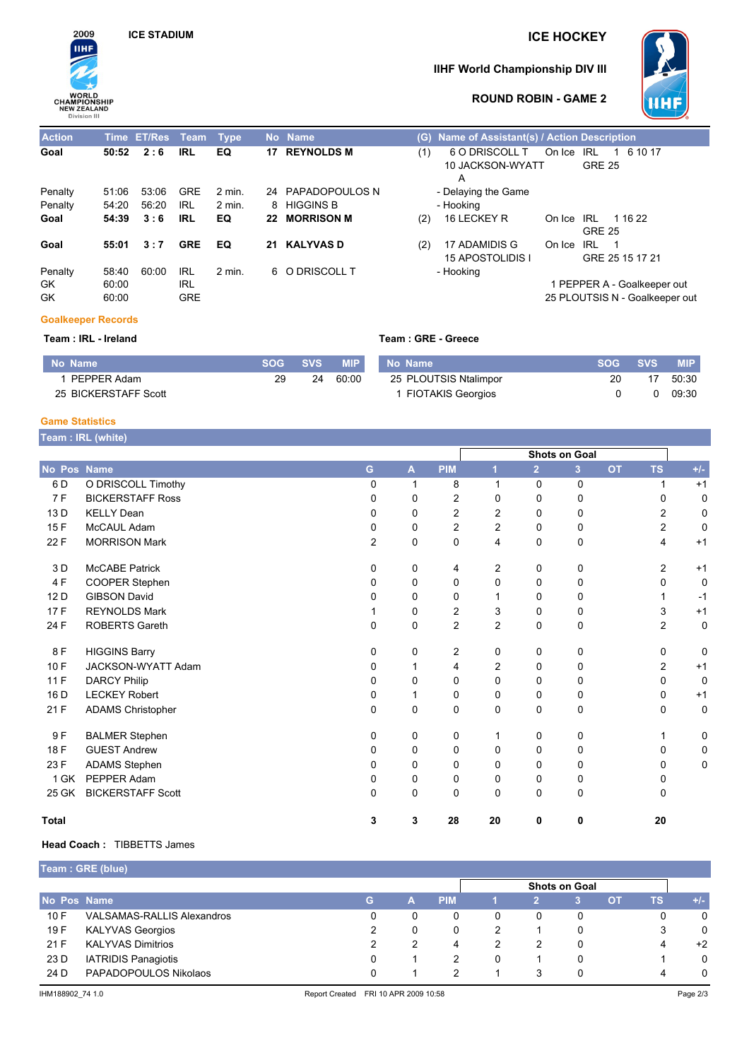

# **ICE STADIUM ICE HOCKEY**

### **IIHF World Championship DIV III**



#### **ROUND ROBIN - GAME 2**

| <b>Action</b> |       | Time ET/Res Team Type |            |                   | No Name              | (G) | Name of Assistant(s) / Action Description |            |               |                                |  |
|---------------|-------|-----------------------|------------|-------------------|----------------------|-----|-------------------------------------------|------------|---------------|--------------------------------|--|
| Goal          | 50:52 | 2:6                   | <b>IRL</b> | EQ                | <b>17 REYNOLDS M</b> | (1) | 6 O DRISCOLL T                            | On Ice IRL |               | 1 6 10 17                      |  |
|               |       |                       |            |                   |                      |     | 10 JACKSON-WYATT                          |            | <b>GRE 25</b> |                                |  |
|               |       |                       |            |                   |                      |     | А                                         |            |               |                                |  |
| Penalty       | 51:06 | 53:06                 | GRE        | 2 min.            | 24 PAPADOPOULOS N    |     | - Delaying the Game                       |            |               |                                |  |
| Penalty       | 54:20 | 56:20                 | IRL        | $2 \text{ min}$ . | 8 HIGGINS B          |     | - Hooking                                 |            |               |                                |  |
| Goal          | 54:39 | 3:6                   | <b>IRL</b> | EQ                | 22 MORRISON M        | (2) | 16 LECKEY R                               | On Ice IRL |               | 1 16 22                        |  |
|               |       |                       |            |                   |                      |     |                                           |            | <b>GRE 25</b> |                                |  |
| Goal          | 55:01 | 3:7                   | <b>GRE</b> | EQ                | 21 KALYVAS D         | (2) | 17 ADAMIDIS G                             | On Ice     | IRL           | - 1                            |  |
|               |       |                       |            |                   |                      |     | 15 APOSTOLIDIS I                          |            |               | GRE 25 15 17 21                |  |
| Penalty       | 58:40 | 60:00                 | <b>IRL</b> | 2 min.            | 6 O DRISCOLL T       |     | - Hooking                                 |            |               |                                |  |
| GK.           | 60:00 |                       | <b>IRL</b> |                   |                      |     |                                           |            |               | 1 PEPPER A - Goalkeeper out    |  |
| GK            | 60:00 |                       | <b>GRE</b> |                   |                      |     |                                           |            |               | 25 PLOUTSIS N - Goalkeeper out |  |
|               |       |                       |            |                   |                      |     |                                           |            |               |                                |  |

## **Goalkeeper Records**

**Team : IRL - Ireland Team : GRE - Greece**

| No Name              | SOG - | <b>SVS</b> | <b>MIP</b> | No Name                  | <b>SOG</b> | <b>SVS</b> | <b>MIP</b> |
|----------------------|-------|------------|------------|--------------------------|------------|------------|------------|
| PEPPER Adam          | 29    | 24         | 60:00      | 25 PLOUTSIS Ntalimpor    | 20         | 17         | 50:30      |
| 25 BICKERSTAFF Scott |       |            |            | <b>FIOTAKIS Georgios</b> |            |            | 09:30      |

#### **Game Statistics**

|              | Team : IRL (white)        |                |          |                |                |                |                      |           |                |                   |
|--------------|---------------------------|----------------|----------|----------------|----------------|----------------|----------------------|-----------|----------------|-------------------|
|              |                           |                |          |                |                |                | <b>Shots on Goal</b> |           |                |                   |
| No Pos Name  |                           | G              | A        | <b>PIM</b>     | 1              | $\overline{2}$ | 3 <sup>1</sup>       | <b>OT</b> | <b>TS</b>      | $\pmb{+}/\pmb{-}$ |
| 6 D          | O DRISCOLL Timothy        | 0              | 1        | 8              | 1              | 0              | 0                    |           | 1              | $+1$              |
| 7F           | <b>BICKERSTAFF Ross</b>   | 0              | 0        | $\overline{c}$ | 0              | 0              | 0                    |           | $\Omega$       | 0                 |
| 13 D         | <b>KELLY Dean</b>         | 0              | $\Omega$ | $\overline{c}$ | 2              | 0              | 0                    |           | 2              | 0                 |
| 15F          | McCAUL Adam               | 0              | $\Omega$ | $\overline{c}$ | 2              | 0              | 0                    |           | $\overline{2}$ | 0                 |
| 22 F         | <b>MORRISON Mark</b>      | $\overline{c}$ | 0        | 0              | 4              | 0              | 0                    |           | $\overline{4}$ | $+1$              |
| 3 D          | <b>McCABE Patrick</b>     | 0              | 0        | 4              | 2              | 0              | 0                    |           | $\overline{2}$ | $+1$              |
| 4 F          | COOPER Stephen            | 0              | 0        | 0              | 0              | 0              | 0                    |           | 0              | 0                 |
| 12 D         | <b>GIBSON David</b>       | 0              | 0        | 0              |                | 0              | 0                    |           |                | $-1$              |
| 17F          | <b>REYNOLDS Mark</b>      |                | $\Omega$ | $\overline{c}$ | 3              | 0              | 0                    |           | 3              | $+1$              |
| 24 F         | <b>ROBERTS Gareth</b>     | 0              | 0        | $\overline{c}$ | $\overline{c}$ | 0              | 0                    |           | $\overline{c}$ | 0                 |
| 8F           | <b>HIGGINS Barry</b>      | 0              | 0        | 2              | 0              | 0              | 0                    |           | $\mathbf 0$    | 0                 |
| 10F          | <b>JACKSON-WYATT Adam</b> | 0              | 1        | 4              | $\overline{2}$ | 0              | 0                    |           | 2              | $+1$              |
| 11 F         | <b>DARCY Philip</b>       | 0              | 0        | 0              | 0              | 0              | 0                    |           | 0              | 0                 |
| 16 D         | <b>LECKEY Robert</b>      | 0              |          | 0              | 0              | 0              | 0                    |           | $\Omega$       | $+1$              |
| 21 F         | <b>ADAMS Christopher</b>  | 0              | 0        | 0              | 0              | 0              | 0                    |           | $\Omega$       | 0                 |
| 9F           | <b>BALMER Stephen</b>     | 0              | 0        | 0              | 1              | 0              | 0                    |           | 1              | 0                 |
| 18 F         | <b>GUEST Andrew</b>       | 0              | 0        | 0              | 0              | 0              | 0                    |           | 0              | 0                 |
| 23 F         | <b>ADAMS Stephen</b>      | 0              | $\Omega$ | 0              | 0              | 0              | 0                    |           | 0              | 0                 |
| 1 GK         | PEPPER Adam               | 0              | 0        | 0              | 0              | 0              | 0                    |           | 0              |                   |
| 25 GK        | <b>BICKERSTAFF Scott</b>  | $\Omega$       | 0        | 0              | 0              | 0              | 0                    |           | $\Omega$       |                   |
| <b>Total</b> |                           | 3              | 3        | 28             | 20             | 0              | 0                    |           | 20             |                   |

#### **Head Coach :** TIBBETTS James

**Team : GRE (blue)**

|             | Team : GRE (blue)                 |                      |  |            |  |  |   |     |    |       |
|-------------|-----------------------------------|----------------------|--|------------|--|--|---|-----|----|-------|
|             |                                   | <b>Shots on Goal</b> |  |            |  |  |   |     |    |       |
| No Pos Name |                                   | G.                   |  | <b>PIM</b> |  |  |   | OT. | ΤS | $+/-$ |
| 10 F        | <b>VALSAMAS-RALLIS Alexandros</b> |                      |  | 0          |  |  | 0 |     | 0  | 0     |
| 19 F        | <b>KALYVAS Georgios</b>           |                      |  |            |  |  | 0 |     | 3  | 0     |
| 21 F        | <b>KALYVAS Dimitrios</b>          |                      |  | 4          |  |  | 0 |     | 4  | $+2$  |
| 23 D        | <b>IATRIDIS Panagiotis</b>        |                      |  |            |  |  | 0 |     |    | 0     |
| 24 D        | PAPADOPOULOS Nikolaos             |                      |  |            |  |  | 0 |     | 4  | 0     |